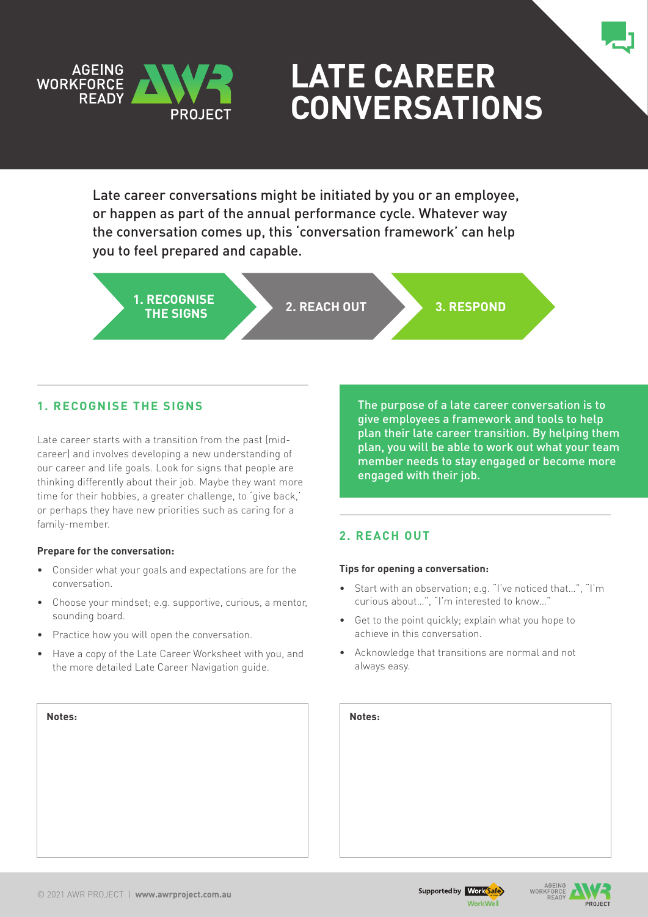

# **Late Career Conversations**

Late career conversations might be initiated by you or an employee, or happen as part of the annual performance cycle. Whatever way the conversation comes up, this 'conversation framework' can help you to feel prepared and capable.

**1. RECOGNISE THE SIGNS 2. REACH OUT 3. RESPOND**

# **1. Recognise the signs**

Late career starts with a transition from the past (midcareer) and involves developing a new understanding of our career and life goals. Look for signs that people are thinking differently about their job. Maybe they want more time for their hobbies, a greater challenge, to 'give back,' or perhaps they have new priorities such as caring for a family-member.

## **Prepare for the conversation:**

- • Consider what your goals and expectations are for the conversation.
- Choose your mindset: e.g. supportive, curious, a mentor, sounding board.
- Practice how you will open the conversation.
- Have a copy of the Late Career Worksheet with you, and the more detailed Late Career Navigation guide.

The purpose of a late career conversation is to give employees a framework and tools to help plan their late career transition. By helping them plan, you will be able to work out what your team member needs to stay engaged or become more engaged with their job.

# **2. Reach out**

## **Tips for opening a conversation:**

- Start with an observation; e.g. "I've noticed that...", "I'm curious about…", "I'm interested to know…"
- Get to the point quickly: explain what you hope to achieve in this conversation.
- • Acknowledge that transitions are normal and not always easy.

| Notes: | Notes: |
|--------|--------|
|        |        |
|        |        |
|        |        |
|        |        |